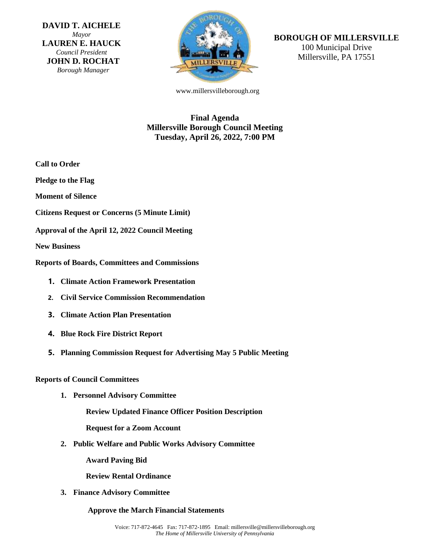**DAVID T. AICHELE** *Mayor* **LAUREN E. HAUCK** *Council President* **JOHN D. ROCHAT** *Borough Manager*



# **BOROUGH OF MILLERSVILLE**

100 Municipal Drive Millersville, PA 17551

www.millersvilleborough.org

# **Final Agenda Millersville Borough Council Meeting Tuesday, April 26, 2022, 7:00 PM**

- **Call to Order**
- **Pledge to the Flag**
- **Moment of Silence**
- **Citizens Request or Concerns (5 Minute Limit)**
- **Approval of the April 12, 2022 Council Meeting**

**New Business**

**Reports of Boards, Committees and Commissions**

- **1. Climate Action Framework Presentation**
- **2. Civil Service Commission Recommendation**
- **3. Climate Action Plan Presentation**
- **4. Blue Rock Fire District Report**
- **5. Planning Commission Request for Advertising May 5 Public Meeting**

## **Reports of Council Committees**

**1. Personnel Advisory Committee**

**Review Updated Finance Officer Position Description**

**Request for a Zoom Account**

**2. Public Welfare and Public Works Advisory Committee**

**Award Paving Bid**

**Review Rental Ordinance**

**3. Finance Advisory Committee**

## **Approve the March Financial Statements**